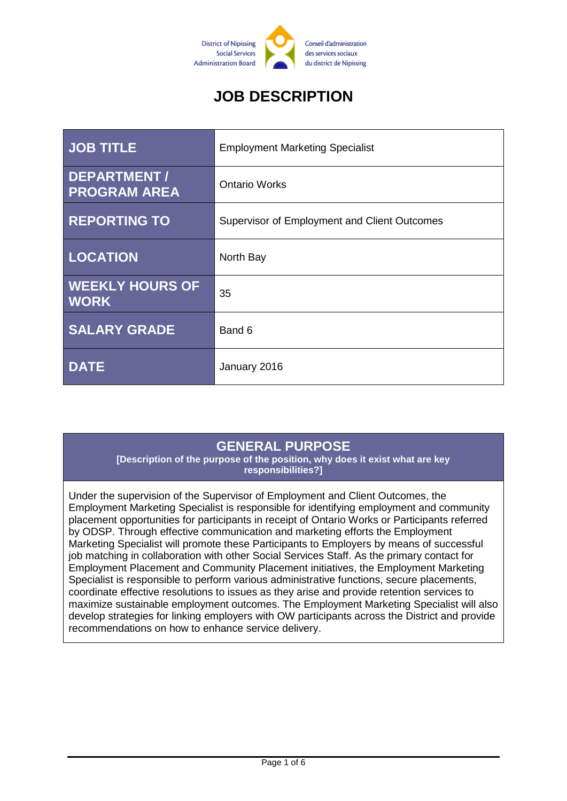

# **JOB DESCRIPTION**

| <b>JOB TITLE</b>                      | <b>Employment Marketing Specialist</b>       |
|---------------------------------------|----------------------------------------------|
| DEPARTMENT /<br><b>PROGRAM AREA</b>   | <b>Ontario Works</b>                         |
| <b>REPORTING TO</b>                   | Supervisor of Employment and Client Outcomes |
| <b>LOCATION</b>                       | North Bay                                    |
| <b>WEEKLY HOURS OF</b><br><b>WORK</b> | 35                                           |
| <b>SALARY GRADE</b>                   | Band 6                                       |
| <b>DATE</b>                           | January 2016                                 |

#### **GENERAL PURPOSE**

**[Description of the purpose of the position, why does it exist what are key responsibilities?]**

Under the supervision of the Supervisor of Employment and Client Outcomes, the Employment Marketing Specialist is responsible for identifying employment and community placement opportunities for participants in receipt of Ontario Works or Participants referred by ODSP. Through effective communication and marketing efforts the Employment Marketing Specialist will promote these Participants to Employers by means of successful job matching in collaboration with other Social Services Staff. As the primary contact for Employment Placement and Community Placement initiatives, the Employment Marketing Specialist is responsible to perform various administrative functions, secure placements, coordinate effective resolutions to issues as they arise and provide retention services to maximize sustainable employment outcomes. The Employment Marketing Specialist will also develop strategies for linking employers with OW participants across the District and provide recommendations on how to enhance service delivery.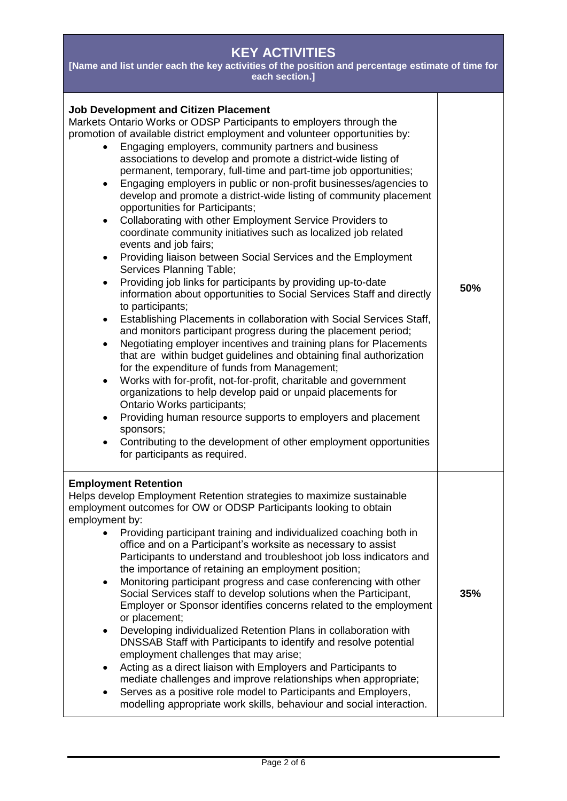| <b>KEY ACTIVITIES</b><br>[Name and list under each the key activities of the position and percentage estimate of time for<br>each section.]                                                                                                                                                                                                                                                                                                                                                                                                                                                                                                                                                                                                                                                                                                                                                                                                                                                                                                                                                                                                                                                                                                                                                                                                                                                                                                                                                                                                                                                                                                                                                                                                                    |     |  |
|----------------------------------------------------------------------------------------------------------------------------------------------------------------------------------------------------------------------------------------------------------------------------------------------------------------------------------------------------------------------------------------------------------------------------------------------------------------------------------------------------------------------------------------------------------------------------------------------------------------------------------------------------------------------------------------------------------------------------------------------------------------------------------------------------------------------------------------------------------------------------------------------------------------------------------------------------------------------------------------------------------------------------------------------------------------------------------------------------------------------------------------------------------------------------------------------------------------------------------------------------------------------------------------------------------------------------------------------------------------------------------------------------------------------------------------------------------------------------------------------------------------------------------------------------------------------------------------------------------------------------------------------------------------------------------------------------------------------------------------------------------------|-----|--|
| <b>Job Development and Citizen Placement</b><br>Markets Ontario Works or ODSP Participants to employers through the<br>promotion of available district employment and volunteer opportunities by:<br>Engaging employers, community partners and business<br>associations to develop and promote a district-wide listing of<br>permanent, temporary, full-time and part-time job opportunities;<br>Engaging employers in public or non-profit businesses/agencies to<br>develop and promote a district-wide listing of community placement<br>opportunities for Participants;<br>Collaborating with other Employment Service Providers to<br>coordinate community initiatives such as localized job related<br>events and job fairs;<br>Providing liaison between Social Services and the Employment<br>$\bullet$<br>Services Planning Table;<br>Providing job links for participants by providing up-to-date<br>٠<br>information about opportunities to Social Services Staff and directly<br>to participants;<br>Establishing Placements in collaboration with Social Services Staff,<br>$\bullet$<br>and monitors participant progress during the placement period;<br>Negotiating employer incentives and training plans for Placements<br>$\bullet$<br>that are within budget guidelines and obtaining final authorization<br>for the expenditure of funds from Management;<br>Works with for-profit, not-for-profit, charitable and government<br>$\bullet$<br>organizations to help develop paid or unpaid placements for<br>Ontario Works participants;<br>Providing human resource supports to employers and placement<br>$\bullet$<br>sponsors;<br>Contributing to the development of other employment opportunities<br>for participants as required. | 50% |  |
| <b>Employment Retention</b><br>Helps develop Employment Retention strategies to maximize sustainable<br>employment outcomes for OW or ODSP Participants looking to obtain<br>employment by:<br>Providing participant training and individualized coaching both in<br>office and on a Participant's worksite as necessary to assist<br>Participants to understand and troubleshoot job loss indicators and<br>the importance of retaining an employment position;<br>Monitoring participant progress and case conferencing with other<br>Social Services staff to develop solutions when the Participant,<br>Employer or Sponsor identifies concerns related to the employment<br>or placement;<br>Developing individualized Retention Plans in collaboration with<br>$\bullet$<br>DNSSAB Staff with Participants to identify and resolve potential<br>employment challenges that may arise;<br>Acting as a direct liaison with Employers and Participants to<br>٠<br>mediate challenges and improve relationships when appropriate;<br>Serves as a positive role model to Participants and Employers,<br>modelling appropriate work skills, behaviour and social interaction.                                                                                                                                                                                                                                                                                                                                                                                                                                                                                                                                                                                  | 35% |  |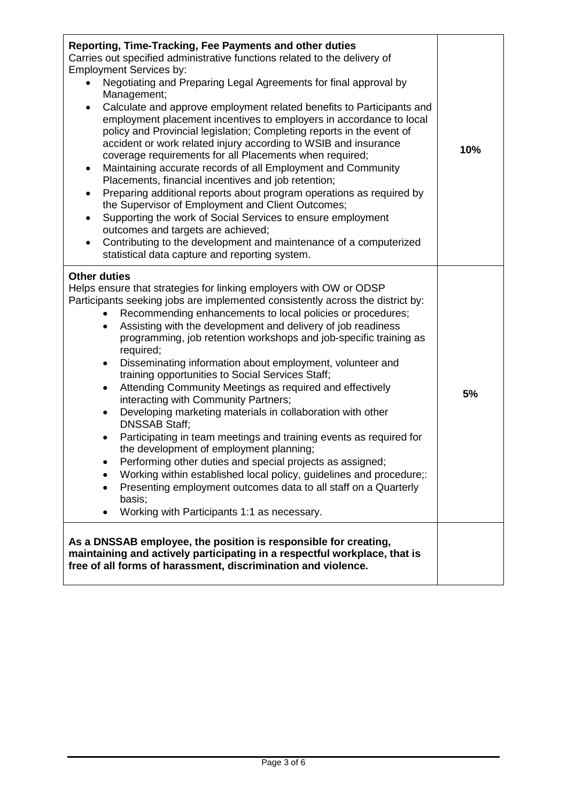| Reporting, Time-Tracking, Fee Payments and other duties<br>Carries out specified administrative functions related to the delivery of<br><b>Employment Services by:</b><br>Negotiating and Preparing Legal Agreements for final approval by<br>Management;<br>Calculate and approve employment related benefits to Participants and<br>$\bullet$<br>employment placement incentives to employers in accordance to local<br>policy and Provincial legislation; Completing reports in the event of<br>accident or work related injury according to WSIB and insurance<br>coverage requirements for all Placements when required;<br>Maintaining accurate records of all Employment and Community<br>$\bullet$<br>Placements, financial incentives and job retention;<br>Preparing additional reports about program operations as required by<br>٠<br>the Supervisor of Employment and Client Outcomes;<br>Supporting the work of Social Services to ensure employment<br>$\bullet$<br>outcomes and targets are achieved;<br>Contributing to the development and maintenance of a computerized<br>$\bullet$<br>statistical data capture and reporting system.                  | 10% |
|----------------------------------------------------------------------------------------------------------------------------------------------------------------------------------------------------------------------------------------------------------------------------------------------------------------------------------------------------------------------------------------------------------------------------------------------------------------------------------------------------------------------------------------------------------------------------------------------------------------------------------------------------------------------------------------------------------------------------------------------------------------------------------------------------------------------------------------------------------------------------------------------------------------------------------------------------------------------------------------------------------------------------------------------------------------------------------------------------------------------------------------------------------------------------|-----|
| <b>Other duties</b><br>Helps ensure that strategies for linking employers with OW or ODSP<br>Participants seeking jobs are implemented consistently across the district by:<br>Recommending enhancements to local policies or procedures;<br>Assisting with the development and delivery of job readiness<br>$\bullet$<br>programming, job retention workshops and job-specific training as<br>required;<br>Disseminating information about employment, volunteer and<br>٠<br>training opportunities to Social Services Staff;<br>Attending Community Meetings as required and effectively<br>$\bullet$<br>interacting with Community Partners;<br>Developing marketing materials in collaboration with other<br>$\bullet$<br><b>DNSSAB Staff:</b><br>Participating in team meetings and training events as required for<br>$\bullet$<br>the development of employment planning;<br>Performing other duties and special projects as assigned;<br>Working within established local policy, guidelines and procedure;:<br>Presenting employment outcomes data to all staff on a Quarterly<br>$\bullet$<br>basis;<br>Working with Participants 1:1 as necessary.<br>$\bullet$ |     |
| As a DNSSAB employee, the position is responsible for creating,<br>maintaining and actively participating in a respectful workplace, that is<br>free of all forms of harassment, discrimination and violence.                                                                                                                                                                                                                                                                                                                                                                                                                                                                                                                                                                                                                                                                                                                                                                                                                                                                                                                                                              |     |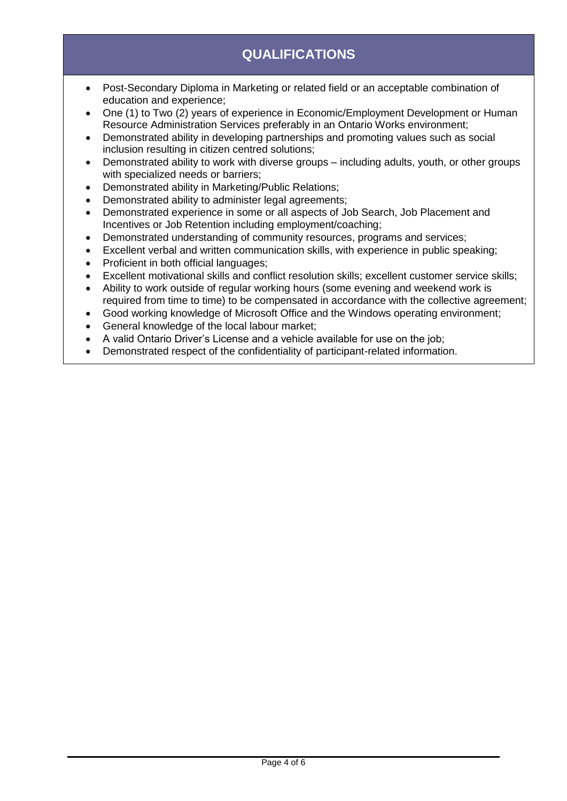# **QUALIFICATIONS**

- Post-Secondary Diploma in Marketing or related field or an acceptable combination of education and experience;
- One (1) to Two (2) years of experience in Economic/Employment Development or Human Resource Administration Services preferably in an Ontario Works environment;
- Demonstrated ability in developing partnerships and promoting values such as social inclusion resulting in citizen centred solutions;
- Demonstrated ability to work with diverse groups including adults, youth, or other groups with specialized needs or barriers;
- Demonstrated ability in Marketing/Public Relations;
- Demonstrated ability to administer legal agreements;
- Demonstrated experience in some or all aspects of Job Search, Job Placement and Incentives or Job Retention including employment/coaching;
- Demonstrated understanding of community resources, programs and services;
- Excellent verbal and written communication skills, with experience in public speaking;
- Proficient in both official languages;
- Excellent motivational skills and conflict resolution skills; excellent customer service skills;
- Ability to work outside of regular working hours (some evening and weekend work is required from time to time) to be compensated in accordance with the collective agreement;
- Good working knowledge of Microsoft Office and the Windows operating environment;
- General knowledge of the local labour market;
- A valid Ontario Driver's License and a vehicle available for use on the job;
- Demonstrated respect of the confidentiality of participant-related information.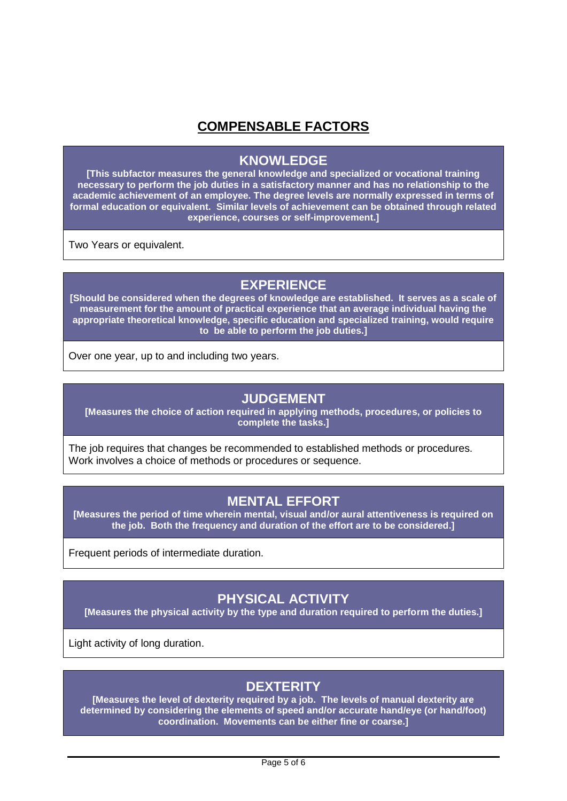## **COMPENSABLE FACTORS**

#### **KNOWLEDGE**

**[This subfactor measures the general knowledge and specialized or vocational training necessary to perform the job duties in a satisfactory manner and has no relationship to the academic achievement of an employee. The degree levels are normally expressed in terms of formal education or equivalent. Similar levels of achievement can be obtained through related experience, courses or self-improvement.]**

Two Years or equivalent.

## **EXPERIENCE**

**[Should be considered when the degrees of knowledge are established. It serves as a scale of measurement for the amount of practical experience that an average individual having the appropriate theoretical knowledge, specific education and specialized training, would require to be able to perform the job duties.]**

Over one year, up to and including two years.

#### **JUDGEMENT**

**[Measures the choice of action required in applying methods, procedures, or policies to complete the tasks.]**

The job requires that changes be recommended to established methods or procedures. Work involves a choice of methods or procedures or sequence.

# **MENTAL EFFORT**

**[Measures the period of time wherein mental, visual and/or aural attentiveness is required on the job. Both the frequency and duration of the effort are to be considered.]**

Frequent periods of intermediate duration.

## **PHYSICAL ACTIVITY**

**[Measures the physical activity by the type and duration required to perform the duties.]**

Light activity of long duration.

#### **DEXTERITY**

**[Measures the level of dexterity required by a job. The levels of manual dexterity are determined by considering the elements of speed and/or accurate hand/eye (or hand/foot) coordination. Movements can be either fine or coarse.]**